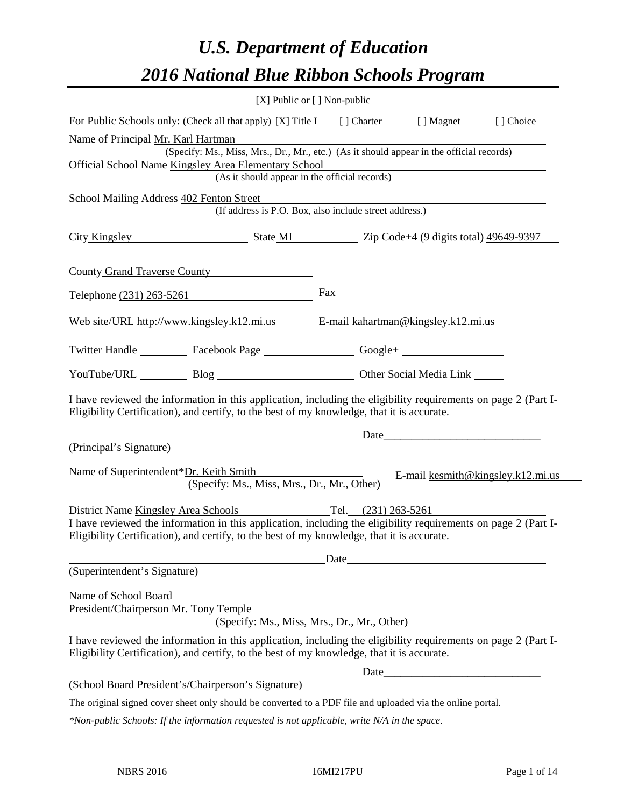# *U.S. Department of Education 2016 National Blue Ribbon Schools Program*

| [X] Public or [] Non-public                                                                                                                                                                                  |                                                                                                                                                                                                                            |                                                                                                                                                                                                                                                                                                                                                                                                                                                                                                                                                                                                                                                                                                                                                                                                                                                                                                                                                                                                                                                                         |
|--------------------------------------------------------------------------------------------------------------------------------------------------------------------------------------------------------------|----------------------------------------------------------------------------------------------------------------------------------------------------------------------------------------------------------------------------|-------------------------------------------------------------------------------------------------------------------------------------------------------------------------------------------------------------------------------------------------------------------------------------------------------------------------------------------------------------------------------------------------------------------------------------------------------------------------------------------------------------------------------------------------------------------------------------------------------------------------------------------------------------------------------------------------------------------------------------------------------------------------------------------------------------------------------------------------------------------------------------------------------------------------------------------------------------------------------------------------------------------------------------------------------------------------|
|                                                                                                                                                                                                              | [ ] Magnet                                                                                                                                                                                                                 | [] Choice                                                                                                                                                                                                                                                                                                                                                                                                                                                                                                                                                                                                                                                                                                                                                                                                                                                                                                                                                                                                                                                               |
|                                                                                                                                                                                                              |                                                                                                                                                                                                                            |                                                                                                                                                                                                                                                                                                                                                                                                                                                                                                                                                                                                                                                                                                                                                                                                                                                                                                                                                                                                                                                                         |
|                                                                                                                                                                                                              |                                                                                                                                                                                                                            |                                                                                                                                                                                                                                                                                                                                                                                                                                                                                                                                                                                                                                                                                                                                                                                                                                                                                                                                                                                                                                                                         |
|                                                                                                                                                                                                              |                                                                                                                                                                                                                            |                                                                                                                                                                                                                                                                                                                                                                                                                                                                                                                                                                                                                                                                                                                                                                                                                                                                                                                                                                                                                                                                         |
|                                                                                                                                                                                                              |                                                                                                                                                                                                                            |                                                                                                                                                                                                                                                                                                                                                                                                                                                                                                                                                                                                                                                                                                                                                                                                                                                                                                                                                                                                                                                                         |
|                                                                                                                                                                                                              |                                                                                                                                                                                                                            |                                                                                                                                                                                                                                                                                                                                                                                                                                                                                                                                                                                                                                                                                                                                                                                                                                                                                                                                                                                                                                                                         |
|                                                                                                                                                                                                              |                                                                                                                                                                                                                            |                                                                                                                                                                                                                                                                                                                                                                                                                                                                                                                                                                                                                                                                                                                                                                                                                                                                                                                                                                                                                                                                         |
|                                                                                                                                                                                                              |                                                                                                                                                                                                                            |                                                                                                                                                                                                                                                                                                                                                                                                                                                                                                                                                                                                                                                                                                                                                                                                                                                                                                                                                                                                                                                                         |
|                                                                                                                                                                                                              |                                                                                                                                                                                                                            |                                                                                                                                                                                                                                                                                                                                                                                                                                                                                                                                                                                                                                                                                                                                                                                                                                                                                                                                                                                                                                                                         |
|                                                                                                                                                                                                              |                                                                                                                                                                                                                            |                                                                                                                                                                                                                                                                                                                                                                                                                                                                                                                                                                                                                                                                                                                                                                                                                                                                                                                                                                                                                                                                         |
|                                                                                                                                                                                                              |                                                                                                                                                                                                                            |                                                                                                                                                                                                                                                                                                                                                                                                                                                                                                                                                                                                                                                                                                                                                                                                                                                                                                                                                                                                                                                                         |
|                                                                                                                                                                                                              |                                                                                                                                                                                                                            |                                                                                                                                                                                                                                                                                                                                                                                                                                                                                                                                                                                                                                                                                                                                                                                                                                                                                                                                                                                                                                                                         |
|                                                                                                                                                                                                              |                                                                                                                                                                                                                            |                                                                                                                                                                                                                                                                                                                                                                                                                                                                                                                                                                                                                                                                                                                                                                                                                                                                                                                                                                                                                                                                         |
|                                                                                                                                                                                                              |                                                                                                                                                                                                                            |                                                                                                                                                                                                                                                                                                                                                                                                                                                                                                                                                                                                                                                                                                                                                                                                                                                                                                                                                                                                                                                                         |
|                                                                                                                                                                                                              |                                                                                                                                                                                                                            |                                                                                                                                                                                                                                                                                                                                                                                                                                                                                                                                                                                                                                                                                                                                                                                                                                                                                                                                                                                                                                                                         |
|                                                                                                                                                                                                              |                                                                                                                                                                                                                            |                                                                                                                                                                                                                                                                                                                                                                                                                                                                                                                                                                                                                                                                                                                                                                                                                                                                                                                                                                                                                                                                         |
|                                                                                                                                                                                                              |                                                                                                                                                                                                                            |                                                                                                                                                                                                                                                                                                                                                                                                                                                                                                                                                                                                                                                                                                                                                                                                                                                                                                                                                                                                                                                                         |
|                                                                                                                                                                                                              |                                                                                                                                                                                                                            |                                                                                                                                                                                                                                                                                                                                                                                                                                                                                                                                                                                                                                                                                                                                                                                                                                                                                                                                                                                                                                                                         |
|                                                                                                                                                                                                              |                                                                                                                                                                                                                            |                                                                                                                                                                                                                                                                                                                                                                                                                                                                                                                                                                                                                                                                                                                                                                                                                                                                                                                                                                                                                                                                         |
|                                                                                                                                                                                                              |                                                                                                                                                                                                                            |                                                                                                                                                                                                                                                                                                                                                                                                                                                                                                                                                                                                                                                                                                                                                                                                                                                                                                                                                                                                                                                                         |
|                                                                                                                                                                                                              |                                                                                                                                                                                                                            |                                                                                                                                                                                                                                                                                                                                                                                                                                                                                                                                                                                                                                                                                                                                                                                                                                                                                                                                                                                                                                                                         |
|                                                                                                                                                                                                              |                                                                                                                                                                                                                            |                                                                                                                                                                                                                                                                                                                                                                                                                                                                                                                                                                                                                                                                                                                                                                                                                                                                                                                                                                                                                                                                         |
|                                                                                                                                                                                                              |                                                                                                                                                                                                                            |                                                                                                                                                                                                                                                                                                                                                                                                                                                                                                                                                                                                                                                                                                                                                                                                                                                                                                                                                                                                                                                                         |
|                                                                                                                                                                                                              |                                                                                                                                                                                                                            |                                                                                                                                                                                                                                                                                                                                                                                                                                                                                                                                                                                                                                                                                                                                                                                                                                                                                                                                                                                                                                                                         |
|                                                                                                                                                                                                              |                                                                                                                                                                                                                            |                                                                                                                                                                                                                                                                                                                                                                                                                                                                                                                                                                                                                                                                                                                                                                                                                                                                                                                                                                                                                                                                         |
|                                                                                                                                                                                                              |                                                                                                                                                                                                                            |                                                                                                                                                                                                                                                                                                                                                                                                                                                                                                                                                                                                                                                                                                                                                                                                                                                                                                                                                                                                                                                                         |
|                                                                                                                                                                                                              |                                                                                                                                                                                                                            |                                                                                                                                                                                                                                                                                                                                                                                                                                                                                                                                                                                                                                                                                                                                                                                                                                                                                                                                                                                                                                                                         |
|                                                                                                                                                                                                              |                                                                                                                                                                                                                            |                                                                                                                                                                                                                                                                                                                                                                                                                                                                                                                                                                                                                                                                                                                                                                                                                                                                                                                                                                                                                                                                         |
|                                                                                                                                                                                                              | Date                                                                                                                                                                                                                       |                                                                                                                                                                                                                                                                                                                                                                                                                                                                                                                                                                                                                                                                                                                                                                                                                                                                                                                                                                                                                                                                         |
|                                                                                                                                                                                                              |                                                                                                                                                                                                                            |                                                                                                                                                                                                                                                                                                                                                                                                                                                                                                                                                                                                                                                                                                                                                                                                                                                                                                                                                                                                                                                                         |
|                                                                                                                                                                                                              |                                                                                                                                                                                                                            |                                                                                                                                                                                                                                                                                                                                                                                                                                                                                                                                                                                                                                                                                                                                                                                                                                                                                                                                                                                                                                                                         |
|                                                                                                                                                                                                              |                                                                                                                                                                                                                            |                                                                                                                                                                                                                                                                                                                                                                                                                                                                                                                                                                                                                                                                                                                                                                                                                                                                                                                                                                                                                                                                         |
| (Specify: Ms., Miss, Mrs., Dr., Mr., Other)                                                                                                                                                                  |                                                                                                                                                                                                                            |                                                                                                                                                                                                                                                                                                                                                                                                                                                                                                                                                                                                                                                                                                                                                                                                                                                                                                                                                                                                                                                                         |
| I have reviewed the information in this application, including the eligibility requirements on page 2 (Part I-<br>Eligibility Certification), and certify, to the best of my knowledge, that it is accurate. |                                                                                                                                                                                                                            |                                                                                                                                                                                                                                                                                                                                                                                                                                                                                                                                                                                                                                                                                                                                                                                                                                                                                                                                                                                                                                                                         |
|                                                                                                                                                                                                              |                                                                                                                                                                                                                            |                                                                                                                                                                                                                                                                                                                                                                                                                                                                                                                                                                                                                                                                                                                                                                                                                                                                                                                                                                                                                                                                         |
|                                                                                                                                                                                                              |                                                                                                                                                                                                                            |                                                                                                                                                                                                                                                                                                                                                                                                                                                                                                                                                                                                                                                                                                                                                                                                                                                                                                                                                                                                                                                                         |
|                                                                                                                                                                                                              | Official School Name Kingsley Area Elementary School<br>(As it should appear in the official records)<br>Telephone (231) 263-5261<br>Name of Superintendent*Dr. Keith Smith<br>(Specify: Ms., Miss, Mrs., Dr., Mr., Other) | For Public Schools only: (Check all that apply) [X] Title I [] Charter<br>(Specify: Ms., Miss, Mrs., Dr., Mr., etc.) (As it should appear in the official records)<br>(If address is P.O. Box, also include street address.)<br>City Kingsley State MI Zip Code+4 (9 digits total) 49649-9397<br>Web site/URL_http://www.kingsley.k12.mi.us E-mail_kahartman@kingsley.k12.mi.us<br>Twitter Handle ____________ Facebook Page ____________________ Google+ _____________________________<br>YouTube/URL Blog Blog Cher Social Media Link<br>I have reviewed the information in this application, including the eligibility requirements on page 2 (Part I-<br>Eligibility Certification), and certify, to the best of my knowledge, that it is accurate.<br>E-mail kesmith@kingsley.k12.mi.us<br>District Name Kingsley Area Schools Tel. (231) 263-5261<br>I have reviewed the information in this application, including the eligibility requirements on page 2 (Part I-<br>Eligibility Certification), and certify, to the best of my knowledge, that it is accurate. |

*\*Non-public Schools: If the information requested is not applicable, write N/A in the space.*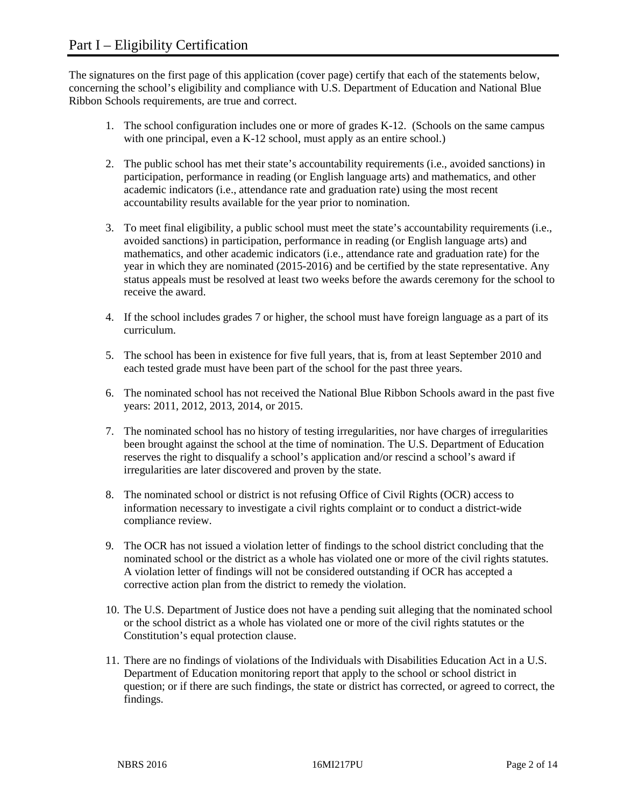The signatures on the first page of this application (cover page) certify that each of the statements below, concerning the school's eligibility and compliance with U.S. Department of Education and National Blue Ribbon Schools requirements, are true and correct.

- 1. The school configuration includes one or more of grades K-12. (Schools on the same campus with one principal, even a K-12 school, must apply as an entire school.)
- 2. The public school has met their state's accountability requirements (i.e., avoided sanctions) in participation, performance in reading (or English language arts) and mathematics, and other academic indicators (i.e., attendance rate and graduation rate) using the most recent accountability results available for the year prior to nomination.
- 3. To meet final eligibility, a public school must meet the state's accountability requirements (i.e., avoided sanctions) in participation, performance in reading (or English language arts) and mathematics, and other academic indicators (i.e., attendance rate and graduation rate) for the year in which they are nominated (2015-2016) and be certified by the state representative. Any status appeals must be resolved at least two weeks before the awards ceremony for the school to receive the award.
- 4. If the school includes grades 7 or higher, the school must have foreign language as a part of its curriculum.
- 5. The school has been in existence for five full years, that is, from at least September 2010 and each tested grade must have been part of the school for the past three years.
- 6. The nominated school has not received the National Blue Ribbon Schools award in the past five years: 2011, 2012, 2013, 2014, or 2015.
- 7. The nominated school has no history of testing irregularities, nor have charges of irregularities been brought against the school at the time of nomination. The U.S. Department of Education reserves the right to disqualify a school's application and/or rescind a school's award if irregularities are later discovered and proven by the state.
- 8. The nominated school or district is not refusing Office of Civil Rights (OCR) access to information necessary to investigate a civil rights complaint or to conduct a district-wide compliance review.
- 9. The OCR has not issued a violation letter of findings to the school district concluding that the nominated school or the district as a whole has violated one or more of the civil rights statutes. A violation letter of findings will not be considered outstanding if OCR has accepted a corrective action plan from the district to remedy the violation.
- 10. The U.S. Department of Justice does not have a pending suit alleging that the nominated school or the school district as a whole has violated one or more of the civil rights statutes or the Constitution's equal protection clause.
- 11. There are no findings of violations of the Individuals with Disabilities Education Act in a U.S. Department of Education monitoring report that apply to the school or school district in question; or if there are such findings, the state or district has corrected, or agreed to correct, the findings.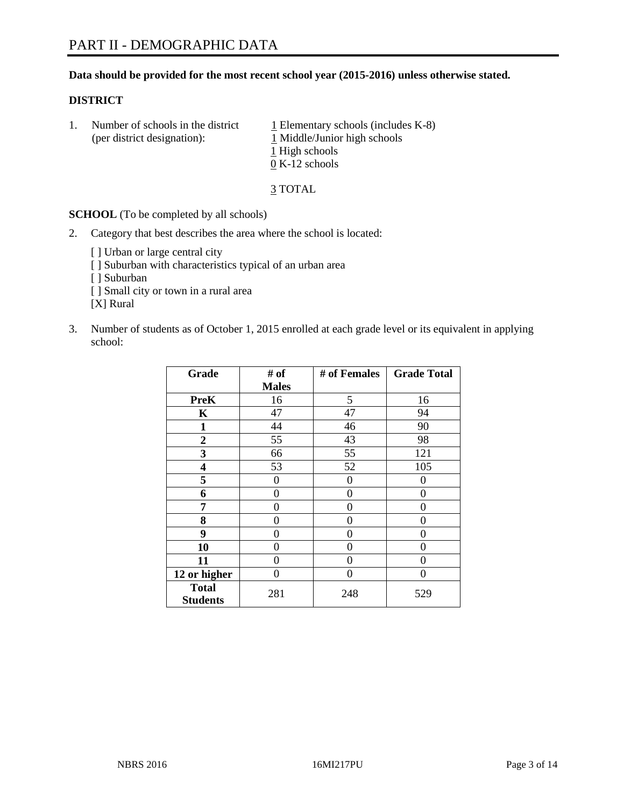### **Data should be provided for the most recent school year (2015-2016) unless otherwise stated.**

#### **DISTRICT**

1. Number of schools in the district  $1$  Elementary schools (includes K-8) (per district designation): 1 Middle/Junior high schools 1 High schools 0 K-12 schools

3 TOTAL

**SCHOOL** (To be completed by all schools)

- 2. Category that best describes the area where the school is located:
	- [] Urban or large central city [ ] Suburban with characteristics typical of an urban area [ ] Suburban [ ] Small city or town in a rural area [X] Rural
- 3. Number of students as of October 1, 2015 enrolled at each grade level or its equivalent in applying school:

| Grade                           | # of         | # of Females | <b>Grade Total</b> |
|---------------------------------|--------------|--------------|--------------------|
|                                 | <b>Males</b> |              |                    |
| <b>PreK</b>                     | 16           | 5            | 16                 |
| $\mathbf K$                     | 47           | 47           | 94                 |
| $\mathbf{1}$                    | 44           | 46           | 90                 |
| $\overline{2}$                  | 55           | 43           | 98                 |
| 3                               | 66           | 55           | 121                |
| 4                               | 53           | 52           | 105                |
| 5                               | 0            | 0            | $\theta$           |
| 6                               | 0            | $\theta$     | 0                  |
| 7                               | 0            | 0            | 0                  |
| 8                               | $\theta$     | $\theta$     | 0                  |
| 9                               | 0            | 0            | 0                  |
| 10                              | 0            | $\Omega$     | 0                  |
| 11                              | 0            | 0            | 0                  |
| 12 or higher                    | 0            | 0            | 0                  |
| <b>Total</b><br><b>Students</b> | 281          | 248          | 529                |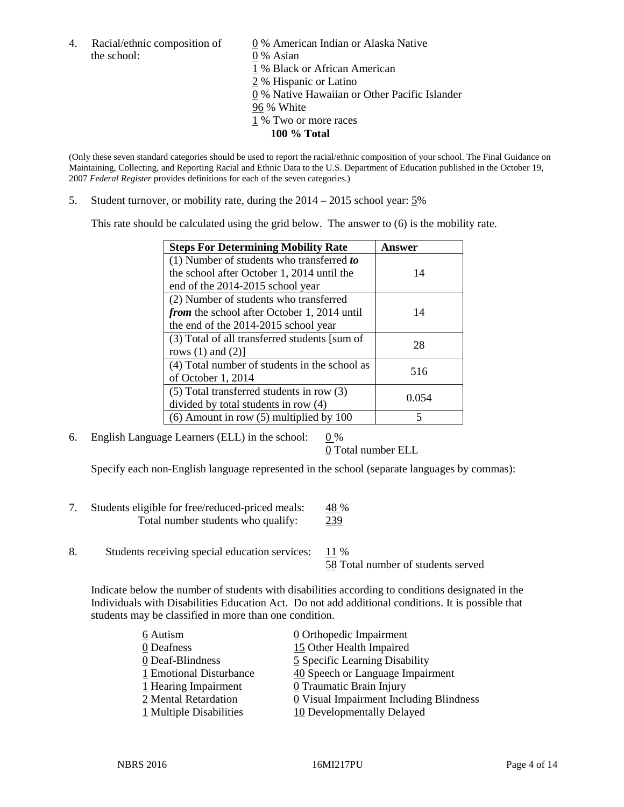4. Racial/ethnic composition of  $\qquad \qquad \underline{0}$  % American Indian or Alaska Native the school: 0 % Asian

 % Black or African American % Hispanic or Latino % Native Hawaiian or Other Pacific Islander 96 % White % Two or more races **100 % Total**

(Only these seven standard categories should be used to report the racial/ethnic composition of your school. The Final Guidance on Maintaining, Collecting, and Reporting Racial and Ethnic Data to the U.S. Department of Education published in the October 19, 2007 *Federal Register* provides definitions for each of the seven categories.)

5. Student turnover, or mobility rate, during the 2014 – 2015 school year: 5%

This rate should be calculated using the grid below. The answer to (6) is the mobility rate.

| <b>Steps For Determining Mobility Rate</b>         | Answer |  |
|----------------------------------------------------|--------|--|
| (1) Number of students who transferred to          |        |  |
| the school after October 1, 2014 until the         | 14     |  |
| end of the 2014-2015 school year                   |        |  |
| (2) Number of students who transferred             |        |  |
| <i>from</i> the school after October 1, 2014 until | 14     |  |
| the end of the 2014-2015 school year               |        |  |
| (3) Total of all transferred students [sum of      | 28     |  |
| rows $(1)$ and $(2)$ ]                             |        |  |
| (4) Total number of students in the school as      | 516    |  |
| of October 1, 2014                                 |        |  |
| $(5)$ Total transferred students in row $(3)$      | 0.054  |  |
| divided by total students in row (4)               |        |  |
| $(6)$ Amount in row $(5)$ multiplied by 100        | 5      |  |

6. English Language Learners (ELL) in the school:  $0\%$ 

0 Total number ELL

Specify each non-English language represented in the school (separate languages by commas):

- 7. Students eligible for free/reduced-priced meals: 48 % Total number students who qualify: 239
- 8. Students receiving special education services: 11 %

58 Total number of students served

Indicate below the number of students with disabilities according to conditions designated in the Individuals with Disabilities Education Act. Do not add additional conditions. It is possible that students may be classified in more than one condition.

| 6 Autism                | $\underline{0}$ Orthopedic Impairment   |
|-------------------------|-----------------------------------------|
| 0 Deafness              | 15 Other Health Impaired                |
| 0 Deaf-Blindness        | 5 Specific Learning Disability          |
| 1 Emotional Disturbance | 40 Speech or Language Impairment        |
| 1 Hearing Impairment    | 0 Traumatic Brain Injury                |
| 2 Mental Retardation    | 0 Visual Impairment Including Blindness |
| 1 Multiple Disabilities | 10 Developmentally Delayed              |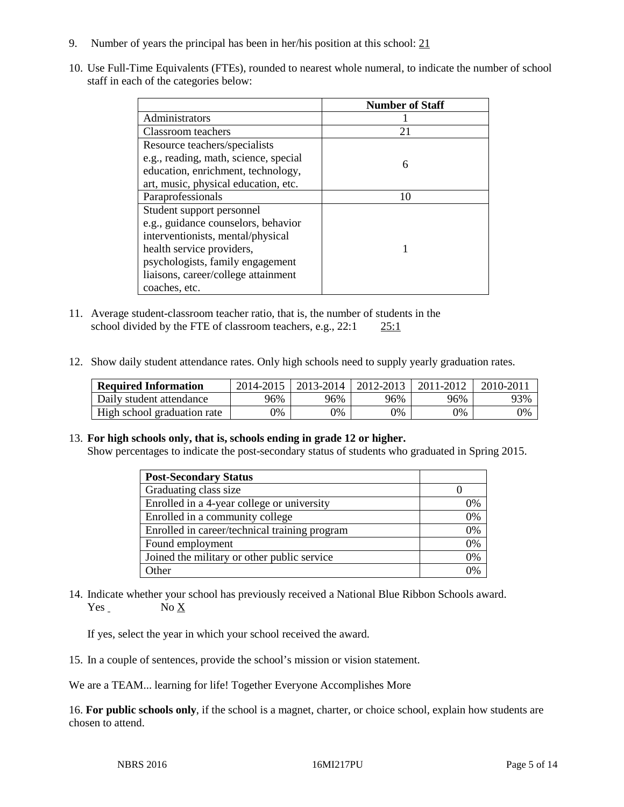- 9. Number of years the principal has been in her/his position at this school: 21
- 10. Use Full-Time Equivalents (FTEs), rounded to nearest whole numeral, to indicate the number of school staff in each of the categories below:

|                                       | <b>Number of Staff</b> |
|---------------------------------------|------------------------|
| Administrators                        |                        |
| Classroom teachers                    | 21                     |
| Resource teachers/specialists         |                        |
| e.g., reading, math, science, special | 6                      |
| education, enrichment, technology,    |                        |
| art, music, physical education, etc.  |                        |
| Paraprofessionals                     | 10                     |
| Student support personnel             |                        |
| e.g., guidance counselors, behavior   |                        |
| interventionists, mental/physical     |                        |
| health service providers,             |                        |
| psychologists, family engagement      |                        |
| liaisons, career/college attainment   |                        |
| coaches, etc.                         |                        |

- 11. Average student-classroom teacher ratio, that is, the number of students in the school divided by the FTE of classroom teachers, e.g.,  $22:1$   $25:1$
- 12. Show daily student attendance rates. Only high schools need to supply yearly graduation rates.

| <b>Required Information</b> | 2014-2015 | 2013-2014 | 2012-2013 | 2011-2012 | 2010-2011 |
|-----------------------------|-----------|-----------|-----------|-----------|-----------|
| Daily student attendance    | 96%       | 96%       | 96%       | 96%       | 93%       |
| High school graduation rate | 9%        | 0%        | 0%        | 9%        | 0%        |

### 13. **For high schools only, that is, schools ending in grade 12 or higher.**

Show percentages to indicate the post-secondary status of students who graduated in Spring 2015.

| <b>Post-Secondary Status</b>                  |    |
|-----------------------------------------------|----|
| Graduating class size                         |    |
| Enrolled in a 4-year college or university    | 0% |
| Enrolled in a community college               | 0% |
| Enrolled in career/technical training program | 0% |
| Found employment                              | 0% |
| Joined the military or other public service   | 0% |
| Other                                         | 0/ |

14. Indicate whether your school has previously received a National Blue Ribbon Schools award. Yes No X

If yes, select the year in which your school received the award.

15. In a couple of sentences, provide the school's mission or vision statement.

We are a TEAM... learning for life! Together Everyone Accomplishes More

16. **For public schools only**, if the school is a magnet, charter, or choice school, explain how students are chosen to attend.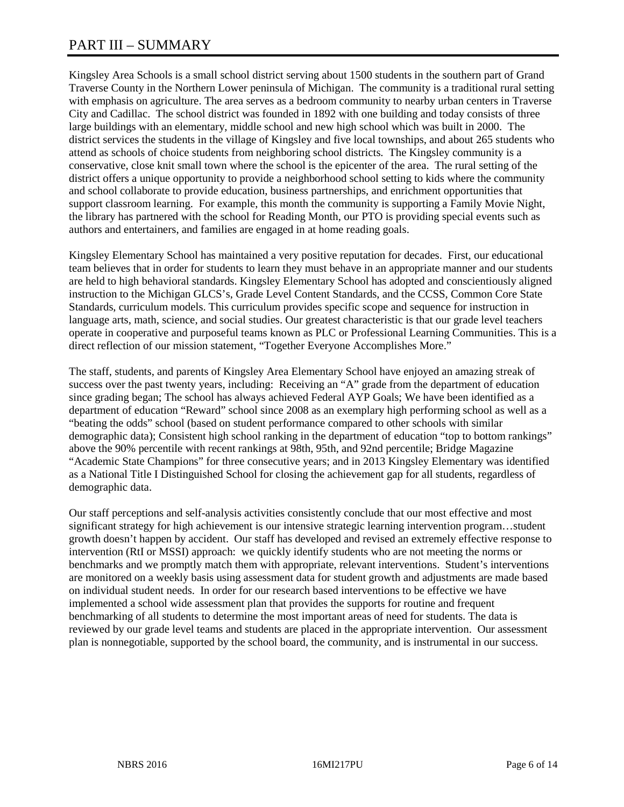# PART III – SUMMARY

Kingsley Area Schools is a small school district serving about 1500 students in the southern part of Grand Traverse County in the Northern Lower peninsula of Michigan. The community is a traditional rural setting with emphasis on agriculture. The area serves as a bedroom community to nearby urban centers in Traverse City and Cadillac. The school district was founded in 1892 with one building and today consists of three large buildings with an elementary, middle school and new high school which was built in 2000. The district services the students in the village of Kingsley and five local townships, and about 265 students who attend as schools of choice students from neighboring school districts. The Kingsley community is a conservative, close knit small town where the school is the epicenter of the area. The rural setting of the district offers a unique opportunity to provide a neighborhood school setting to kids where the community and school collaborate to provide education, business partnerships, and enrichment opportunities that support classroom learning. For example, this month the community is supporting a Family Movie Night, the library has partnered with the school for Reading Month, our PTO is providing special events such as authors and entertainers, and families are engaged in at home reading goals.

Kingsley Elementary School has maintained a very positive reputation for decades. First, our educational team believes that in order for students to learn they must behave in an appropriate manner and our students are held to high behavioral standards. Kingsley Elementary School has adopted and conscientiously aligned instruction to the Michigan GLCS's, Grade Level Content Standards, and the CCSS, Common Core State Standards, curriculum models. This curriculum provides specific scope and sequence for instruction in language arts, math, science, and social studies. Our greatest characteristic is that our grade level teachers operate in cooperative and purposeful teams known as PLC or Professional Learning Communities. This is a direct reflection of our mission statement, "Together Everyone Accomplishes More."

The staff, students, and parents of Kingsley Area Elementary School have enjoyed an amazing streak of success over the past twenty years, including: Receiving an "A" grade from the department of education since grading began; The school has always achieved Federal AYP Goals; We have been identified as a department of education "Reward" school since 2008 as an exemplary high performing school as well as a "beating the odds" school (based on student performance compared to other schools with similar demographic data); Consistent high school ranking in the department of education "top to bottom rankings" above the 90% percentile with recent rankings at 98th, 95th, and 92nd percentile; Bridge Magazine "Academic State Champions" for three consecutive years; and in 2013 Kingsley Elementary was identified as a National Title I Distinguished School for closing the achievement gap for all students, regardless of demographic data.

Our staff perceptions and self-analysis activities consistently conclude that our most effective and most significant strategy for high achievement is our intensive strategic learning intervention program…student growth doesn't happen by accident. Our staff has developed and revised an extremely effective response to intervention (RtI or MSSI) approach: we quickly identify students who are not meeting the norms or benchmarks and we promptly match them with appropriate, relevant interventions. Student's interventions are monitored on a weekly basis using assessment data for student growth and adjustments are made based on individual student needs. In order for our research based interventions to be effective we have implemented a school wide assessment plan that provides the supports for routine and frequent benchmarking of all students to determine the most important areas of need for students. The data is reviewed by our grade level teams and students are placed in the appropriate intervention. Our assessment plan is nonnegotiable, supported by the school board, the community, and is instrumental in our success.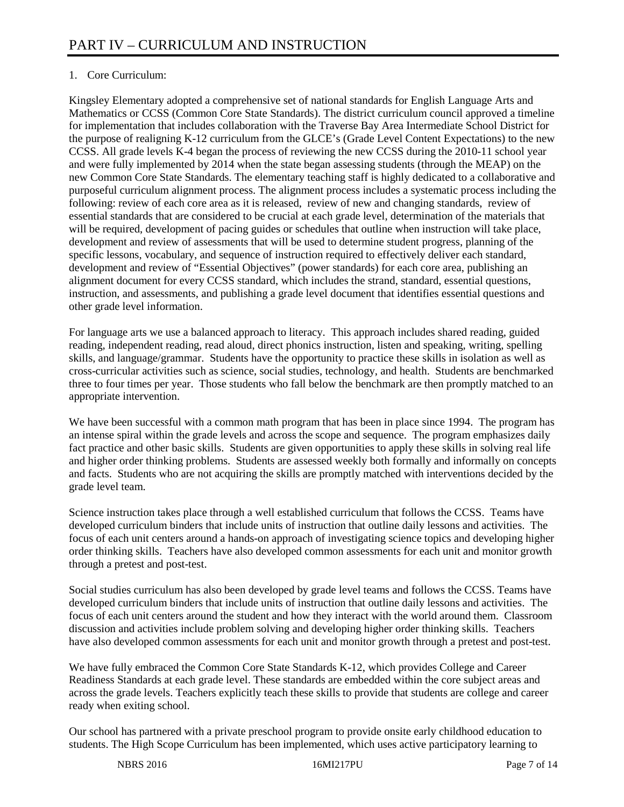# 1. Core Curriculum:

Kingsley Elementary adopted a comprehensive set of national standards for English Language Arts and Mathematics or CCSS (Common Core State Standards). The district curriculum council approved a timeline for implementation that includes collaboration with the Traverse Bay Area Intermediate School District for the purpose of realigning K-12 curriculum from the GLCE's (Grade Level Content Expectations) to the new CCSS. All grade levels K-4 began the process of reviewing the new CCSS during the 2010-11 school year and were fully implemented by 2014 when the state began assessing students (through the MEAP) on the new Common Core State Standards. The elementary teaching staff is highly dedicated to a collaborative and purposeful curriculum alignment process. The alignment process includes a systematic process including the following: review of each core area as it is released, review of new and changing standards, review of essential standards that are considered to be crucial at each grade level, determination of the materials that will be required, development of pacing guides or schedules that outline when instruction will take place, development and review of assessments that will be used to determine student progress, planning of the specific lessons, vocabulary, and sequence of instruction required to effectively deliver each standard, development and review of "Essential Objectives" (power standards) for each core area, publishing an alignment document for every CCSS standard, which includes the strand, standard, essential questions, instruction, and assessments, and publishing a grade level document that identifies essential questions and other grade level information.

For language arts we use a balanced approach to literacy. This approach includes shared reading, guided reading, independent reading, read aloud, direct phonics instruction, listen and speaking, writing, spelling skills, and language/grammar. Students have the opportunity to practice these skills in isolation as well as cross-curricular activities such as science, social studies, technology, and health. Students are benchmarked three to four times per year. Those students who fall below the benchmark are then promptly matched to an appropriate intervention.

We have been successful with a common math program that has been in place since 1994. The program has an intense spiral within the grade levels and across the scope and sequence. The program emphasizes daily fact practice and other basic skills. Students are given opportunities to apply these skills in solving real life and higher order thinking problems. Students are assessed weekly both formally and informally on concepts and facts. Students who are not acquiring the skills are promptly matched with interventions decided by the grade level team.

Science instruction takes place through a well established curriculum that follows the CCSS. Teams have developed curriculum binders that include units of instruction that outline daily lessons and activities. The focus of each unit centers around a hands-on approach of investigating science topics and developing higher order thinking skills. Teachers have also developed common assessments for each unit and monitor growth through a pretest and post-test.

Social studies curriculum has also been developed by grade level teams and follows the CCSS. Teams have developed curriculum binders that include units of instruction that outline daily lessons and activities. The focus of each unit centers around the student and how they interact with the world around them. Classroom discussion and activities include problem solving and developing higher order thinking skills. Teachers have also developed common assessments for each unit and monitor growth through a pretest and post-test.

We have fully embraced the Common Core State Standards K-12, which provides College and Career Readiness Standards at each grade level. These standards are embedded within the core subject areas and across the grade levels. Teachers explicitly teach these skills to provide that students are college and career ready when exiting school.

Our school has partnered with a private preschool program to provide onsite early childhood education to students. The High Scope Curriculum has been implemented, which uses active participatory learning to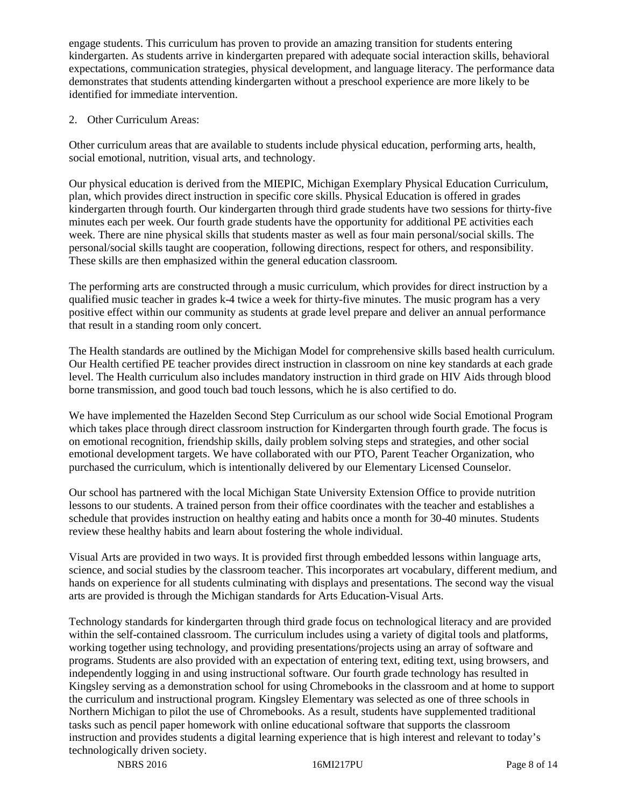engage students. This curriculum has proven to provide an amazing transition for students entering kindergarten. As students arrive in kindergarten prepared with adequate social interaction skills, behavioral expectations, communication strategies, physical development, and language literacy. The performance data demonstrates that students attending kindergarten without a preschool experience are more likely to be identified for immediate intervention.

2. Other Curriculum Areas:

Other curriculum areas that are available to students include physical education, performing arts, health, social emotional, nutrition, visual arts, and technology.

Our physical education is derived from the MIEPIC, Michigan Exemplary Physical Education Curriculum, plan, which provides direct instruction in specific core skills. Physical Education is offered in grades kindergarten through fourth. Our kindergarten through third grade students have two sessions for thirty-five minutes each per week. Our fourth grade students have the opportunity for additional PE activities each week. There are nine physical skills that students master as well as four main personal/social skills. The personal/social skills taught are cooperation, following directions, respect for others, and responsibility. These skills are then emphasized within the general education classroom.

The performing arts are constructed through a music curriculum, which provides for direct instruction by a qualified music teacher in grades k-4 twice a week for thirty-five minutes. The music program has a very positive effect within our community as students at grade level prepare and deliver an annual performance that result in a standing room only concert.

The Health standards are outlined by the Michigan Model for comprehensive skills based health curriculum. Our Health certified PE teacher provides direct instruction in classroom on nine key standards at each grade level. The Health curriculum also includes mandatory instruction in third grade on HIV Aids through blood borne transmission, and good touch bad touch lessons, which he is also certified to do.

We have implemented the Hazelden Second Step Curriculum as our school wide Social Emotional Program which takes place through direct classroom instruction for Kindergarten through fourth grade. The focus is on emotional recognition, friendship skills, daily problem solving steps and strategies, and other social emotional development targets. We have collaborated with our PTO, Parent Teacher Organization, who purchased the curriculum, which is intentionally delivered by our Elementary Licensed Counselor.

Our school has partnered with the local Michigan State University Extension Office to provide nutrition lessons to our students. A trained person from their office coordinates with the teacher and establishes a schedule that provides instruction on healthy eating and habits once a month for 30-40 minutes. Students review these healthy habits and learn about fostering the whole individual.

Visual Arts are provided in two ways. It is provided first through embedded lessons within language arts, science, and social studies by the classroom teacher. This incorporates art vocabulary, different medium, and hands on experience for all students culminating with displays and presentations. The second way the visual arts are provided is through the Michigan standards for Arts Education-Visual Arts.

Technology standards for kindergarten through third grade focus on technological literacy and are provided within the self-contained classroom. The curriculum includes using a variety of digital tools and platforms, working together using technology, and providing presentations/projects using an array of software and programs. Students are also provided with an expectation of entering text, editing text, using browsers, and independently logging in and using instructional software. Our fourth grade technology has resulted in Kingsley serving as a demonstration school for using Chromebooks in the classroom and at home to support the curriculum and instructional program. Kingsley Elementary was selected as one of three schools in Northern Michigan to pilot the use of Chromebooks. As a result, students have supplemented traditional tasks such as pencil paper homework with online educational software that supports the classroom instruction and provides students a digital learning experience that is high interest and relevant to today's technologically driven society.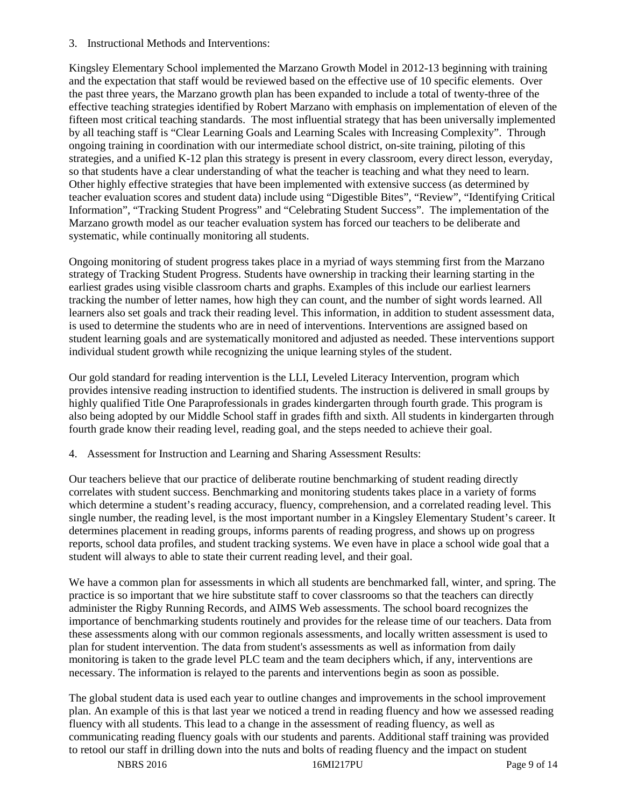3. Instructional Methods and Interventions:

Kingsley Elementary School implemented the Marzano Growth Model in 2012-13 beginning with training and the expectation that staff would be reviewed based on the effective use of 10 specific elements. Over the past three years, the Marzano growth plan has been expanded to include a total of twenty-three of the effective teaching strategies identified by Robert Marzano with emphasis on implementation of eleven of the fifteen most critical teaching standards. The most influential strategy that has been universally implemented by all teaching staff is "Clear Learning Goals and Learning Scales with Increasing Complexity". Through ongoing training in coordination with our intermediate school district, on-site training, piloting of this strategies, and a unified K-12 plan this strategy is present in every classroom, every direct lesson, everyday, so that students have a clear understanding of what the teacher is teaching and what they need to learn. Other highly effective strategies that have been implemented with extensive success (as determined by teacher evaluation scores and student data) include using "Digestible Bites", "Review", "Identifying Critical Information", "Tracking Student Progress" and "Celebrating Student Success". The implementation of the Marzano growth model as our teacher evaluation system has forced our teachers to be deliberate and systematic, while continually monitoring all students.

Ongoing monitoring of student progress takes place in a myriad of ways stemming first from the Marzano strategy of Tracking Student Progress. Students have ownership in tracking their learning starting in the earliest grades using visible classroom charts and graphs. Examples of this include our earliest learners tracking the number of letter names, how high they can count, and the number of sight words learned. All learners also set goals and track their reading level. This information, in addition to student assessment data, is used to determine the students who are in need of interventions. Interventions are assigned based on student learning goals and are systematically monitored and adjusted as needed. These interventions support individual student growth while recognizing the unique learning styles of the student.

Our gold standard for reading intervention is the LLI, Leveled Literacy Intervention, program which provides intensive reading instruction to identified students. The instruction is delivered in small groups by highly qualified Title One Paraprofessionals in grades kindergarten through fourth grade. This program is also being adopted by our Middle School staff in grades fifth and sixth. All students in kindergarten through fourth grade know their reading level, reading goal, and the steps needed to achieve their goal.

4. Assessment for Instruction and Learning and Sharing Assessment Results:

Our teachers believe that our practice of deliberate routine benchmarking of student reading directly correlates with student success. Benchmarking and monitoring students takes place in a variety of forms which determine a student's reading accuracy, fluency, comprehension, and a correlated reading level. This single number, the reading level, is the most important number in a Kingsley Elementary Student's career. It determines placement in reading groups, informs parents of reading progress, and shows up on progress reports, school data profiles, and student tracking systems. We even have in place a school wide goal that a student will always to able to state their current reading level, and their goal.

We have a common plan for assessments in which all students are benchmarked fall, winter, and spring. The practice is so important that we hire substitute staff to cover classrooms so that the teachers can directly administer the Rigby Running Records, and AIMS Web assessments. The school board recognizes the importance of benchmarking students routinely and provides for the release time of our teachers. Data from these assessments along with our common regionals assessments, and locally written assessment is used to plan for student intervention. The data from student's assessments as well as information from daily monitoring is taken to the grade level PLC team and the team deciphers which, if any, interventions are necessary. The information is relayed to the parents and interventions begin as soon as possible.

The global student data is used each year to outline changes and improvements in the school improvement plan. An example of this is that last year we noticed a trend in reading fluency and how we assessed reading fluency with all students. This lead to a change in the assessment of reading fluency, as well as communicating reading fluency goals with our students and parents. Additional staff training was provided to retool our staff in drilling down into the nuts and bolts of reading fluency and the impact on student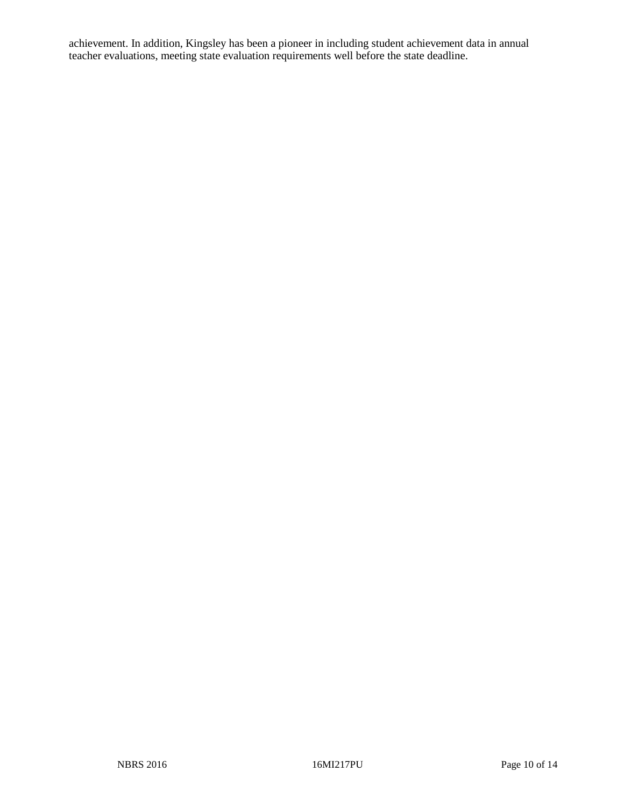achievement. In addition, Kingsley has been a pioneer in including student achievement data in annual teacher evaluations, meeting state evaluation requirements well before the state deadline.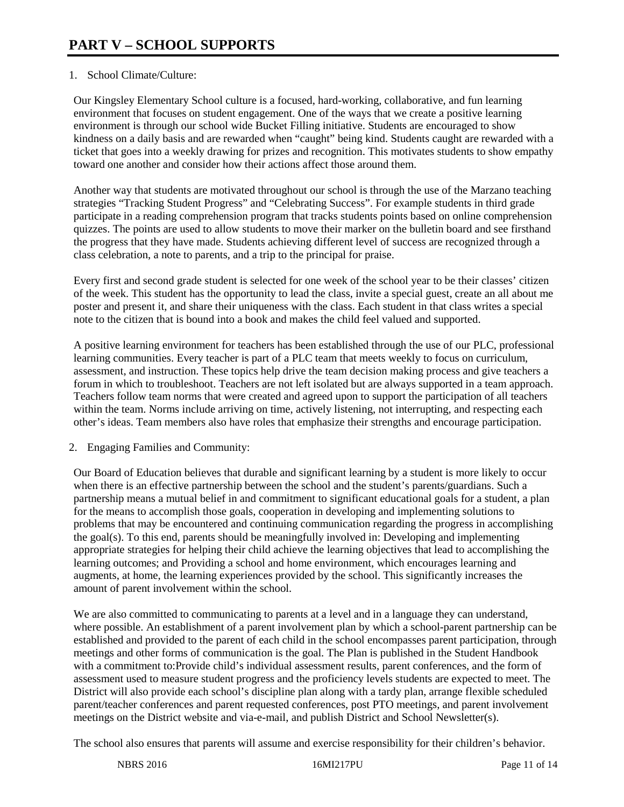# 1. School Climate/Culture:

Our Kingsley Elementary School culture is a focused, hard-working, collaborative, and fun learning environment that focuses on student engagement. One of the ways that we create a positive learning environment is through our school wide Bucket Filling initiative. Students are encouraged to show kindness on a daily basis and are rewarded when "caught" being kind. Students caught are rewarded with a ticket that goes into a weekly drawing for prizes and recognition. This motivates students to show empathy toward one another and consider how their actions affect those around them.

Another way that students are motivated throughout our school is through the use of the Marzano teaching strategies "Tracking Student Progress" and "Celebrating Success". For example students in third grade participate in a reading comprehension program that tracks students points based on online comprehension quizzes. The points are used to allow students to move their marker on the bulletin board and see firsthand the progress that they have made. Students achieving different level of success are recognized through a class celebration, a note to parents, and a trip to the principal for praise.

Every first and second grade student is selected for one week of the school year to be their classes' citizen of the week. This student has the opportunity to lead the class, invite a special guest, create an all about me poster and present it, and share their uniqueness with the class. Each student in that class writes a special note to the citizen that is bound into a book and makes the child feel valued and supported.

A positive learning environment for teachers has been established through the use of our PLC, professional learning communities. Every teacher is part of a PLC team that meets weekly to focus on curriculum, assessment, and instruction. These topics help drive the team decision making process and give teachers a forum in which to troubleshoot. Teachers are not left isolated but are always supported in a team approach. Teachers follow team norms that were created and agreed upon to support the participation of all teachers within the team. Norms include arriving on time, actively listening, not interrupting, and respecting each other's ideas. Team members also have roles that emphasize their strengths and encourage participation.

### 2. Engaging Families and Community:

Our Board of Education believes that durable and significant learning by a student is more likely to occur when there is an effective partnership between the school and the student's parents/guardians. Such a partnership means a mutual belief in and commitment to significant educational goals for a student, a plan for the means to accomplish those goals, cooperation in developing and implementing solutions to problems that may be encountered and continuing communication regarding the progress in accomplishing the goal(s). To this end, parents should be meaningfully involved in: Developing and implementing appropriate strategies for helping their child achieve the learning objectives that lead to accomplishing the learning outcomes; and Providing a school and home environment, which encourages learning and augments, at home, the learning experiences provided by the school. This significantly increases the amount of parent involvement within the school.

We are also committed to communicating to parents at a level and in a language they can understand, where possible. An establishment of a parent involvement plan by which a school-parent partnership can be established and provided to the parent of each child in the school encompasses parent participation, through meetings and other forms of communication is the goal. The Plan is published in the Student Handbook with a commitment to:Provide child's individual assessment results, parent conferences, and the form of assessment used to measure student progress and the proficiency levels students are expected to meet. The District will also provide each school's discipline plan along with a tardy plan, arrange flexible scheduled parent/teacher conferences and parent requested conferences, post PTO meetings, and parent involvement meetings on the District website and via-e-mail, and publish District and School Newsletter(s).

The school also ensures that parents will assume and exercise responsibility for their children's behavior.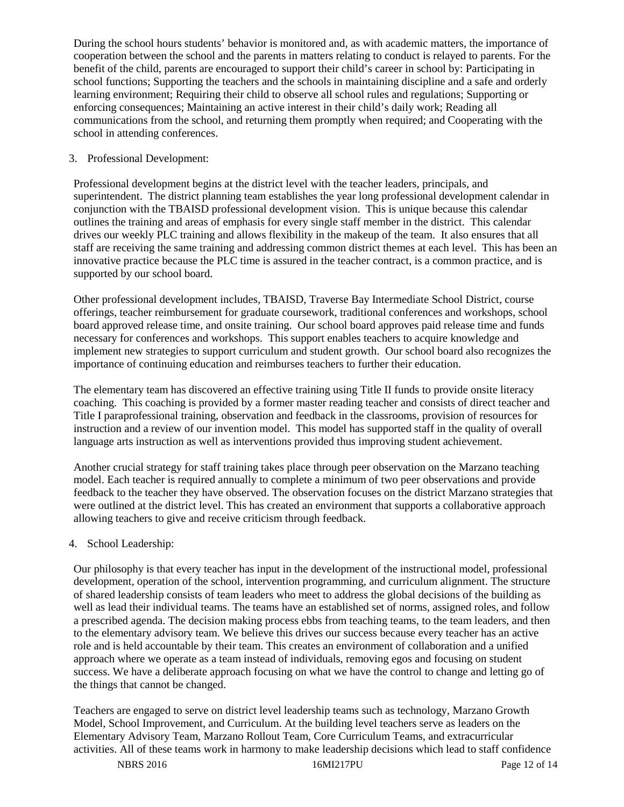During the school hours students' behavior is monitored and, as with academic matters, the importance of cooperation between the school and the parents in matters relating to conduct is relayed to parents. For the benefit of the child, parents are encouraged to support their child's career in school by: Participating in school functions; Supporting the teachers and the schools in maintaining discipline and a safe and orderly learning environment; Requiring their child to observe all school rules and regulations; Supporting or enforcing consequences; Maintaining an active interest in their child's daily work; Reading all communications from the school, and returning them promptly when required; and Cooperating with the school in attending conferences.

## 3. Professional Development:

Professional development begins at the district level with the teacher leaders, principals, and superintendent. The district planning team establishes the year long professional development calendar in conjunction with the TBAISD professional development vision. This is unique because this calendar outlines the training and areas of emphasis for every single staff member in the district. This calendar drives our weekly PLC training and allows flexibility in the makeup of the team. It also ensures that all staff are receiving the same training and addressing common district themes at each level. This has been an innovative practice because the PLC time is assured in the teacher contract, is a common practice, and is supported by our school board.

Other professional development includes, TBAISD, Traverse Bay Intermediate School District, course offerings, teacher reimbursement for graduate coursework, traditional conferences and workshops, school board approved release time, and onsite training. Our school board approves paid release time and funds necessary for conferences and workshops. This support enables teachers to acquire knowledge and implement new strategies to support curriculum and student growth. Our school board also recognizes the importance of continuing education and reimburses teachers to further their education.

The elementary team has discovered an effective training using Title II funds to provide onsite literacy coaching. This coaching is provided by a former master reading teacher and consists of direct teacher and Title I paraprofessional training, observation and feedback in the classrooms, provision of resources for instruction and a review of our invention model. This model has supported staff in the quality of overall language arts instruction as well as interventions provided thus improving student achievement.

Another crucial strategy for staff training takes place through peer observation on the Marzano teaching model. Each teacher is required annually to complete a minimum of two peer observations and provide feedback to the teacher they have observed. The observation focuses on the district Marzano strategies that were outlined at the district level. This has created an environment that supports a collaborative approach allowing teachers to give and receive criticism through feedback.

# 4. School Leadership:

Our philosophy is that every teacher has input in the development of the instructional model, professional development, operation of the school, intervention programming, and curriculum alignment. The structure of shared leadership consists of team leaders who meet to address the global decisions of the building as well as lead their individual teams. The teams have an established set of norms, assigned roles, and follow a prescribed agenda. The decision making process ebbs from teaching teams, to the team leaders, and then to the elementary advisory team. We believe this drives our success because every teacher has an active role and is held accountable by their team. This creates an environment of collaboration and a unified approach where we operate as a team instead of individuals, removing egos and focusing on student success. We have a deliberate approach focusing on what we have the control to change and letting go of the things that cannot be changed.

Teachers are engaged to serve on district level leadership teams such as technology, Marzano Growth Model, School Improvement, and Curriculum. At the building level teachers serve as leaders on the Elementary Advisory Team, Marzano Rollout Team, Core Curriculum Teams, and extracurricular activities. All of these teams work in harmony to make leadership decisions which lead to staff confidence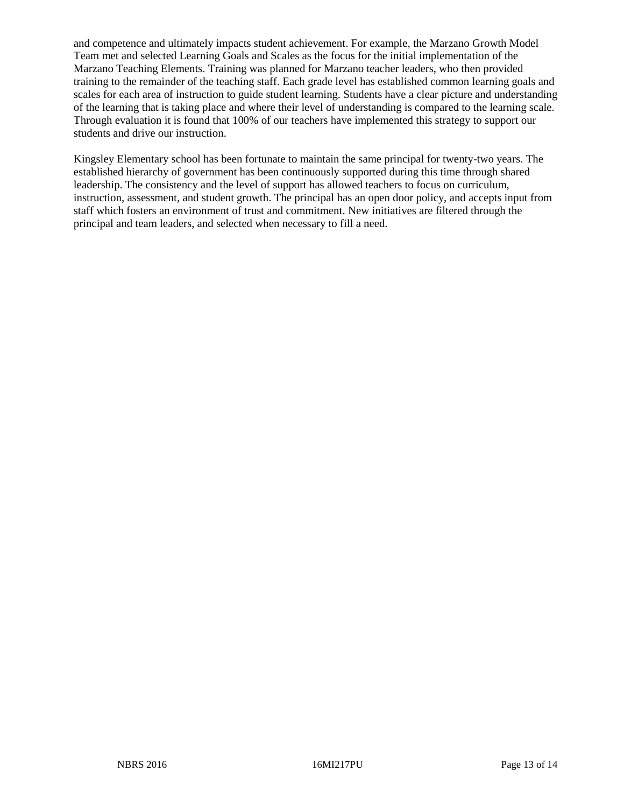and competence and ultimately impacts student achievement. For example, the Marzano Growth Model Team met and selected Learning Goals and Scales as the focus for the initial implementation of the Marzano Teaching Elements. Training was planned for Marzano teacher leaders, who then provided training to the remainder of the teaching staff. Each grade level has established common learning goals and scales for each area of instruction to guide student learning. Students have a clear picture and understanding of the learning that is taking place and where their level of understanding is compared to the learning scale. Through evaluation it is found that 100% of our teachers have implemented this strategy to support our students and drive our instruction.

Kingsley Elementary school has been fortunate to maintain the same principal for twenty-two years. The established hierarchy of government has been continuously supported during this time through shared leadership. The consistency and the level of support has allowed teachers to focus on curriculum, instruction, assessment, and student growth. The principal has an open door policy, and accepts input from staff which fosters an environment of trust and commitment. New initiatives are filtered through the principal and team leaders, and selected when necessary to fill a need.